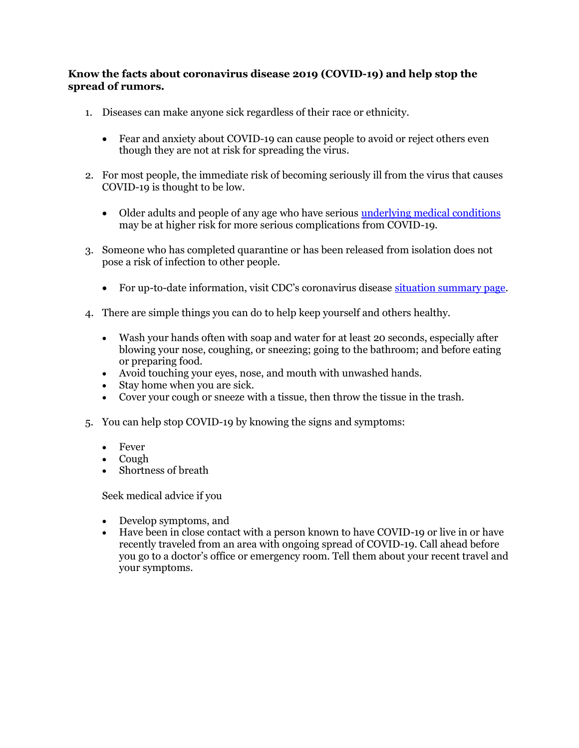## **Know the facts about coronavirus disease 2019 (COVID-19) and help stop the spread of rumors.**

- 1. Diseases can make anyone sick regardless of their race or ethnicity.
	- Fear and anxiety about COVID-19 can cause people to avoid or reject others even though they are not at risk for spreading the virus.
- 2. For most people, the immediate risk of becoming seriously ill from the virus that causes COVID-19 is thought to be low.
	- Older adults and people of any age who have serious **underlying medical conditions** may be at higher risk for more serious complications from COVID-19.
- 3. Someone who has completed quarantine or has been released from isolation does not pose a risk of infection to other people.
	- For up-to-date information, visit CDC's coronavirus disease [situation summary page.](https://www.cdc.gov/coronavirus/2019-ncov/summary.html)
- 4. There are simple things you can do to help keep yourself and others healthy.
	- Wash your hands often with soap and water for at least 20 seconds, especially after blowing your nose, coughing, or sneezing; going to the bathroom; and before eating or preparing food.
	- Avoid touching your eyes, nose, and mouth with unwashed hands.
	- Stay home when you are sick.
	- Cover your cough or sneeze with a tissue, then throw the tissue in the trash.
- 5. You can help stop COVID-19 by knowing the signs and symptoms:
	- Fever
	- Cough
	- Shortness of breath

Seek medical advice if you

- Develop symptoms, and
- Have been in close contact with a person known to have COVID-19 or live in or have recently traveled from an area with ongoing spread of COVID-19. Call ahead before you go to a doctor's office or emergency room. Tell them about your recent travel and your symptoms.